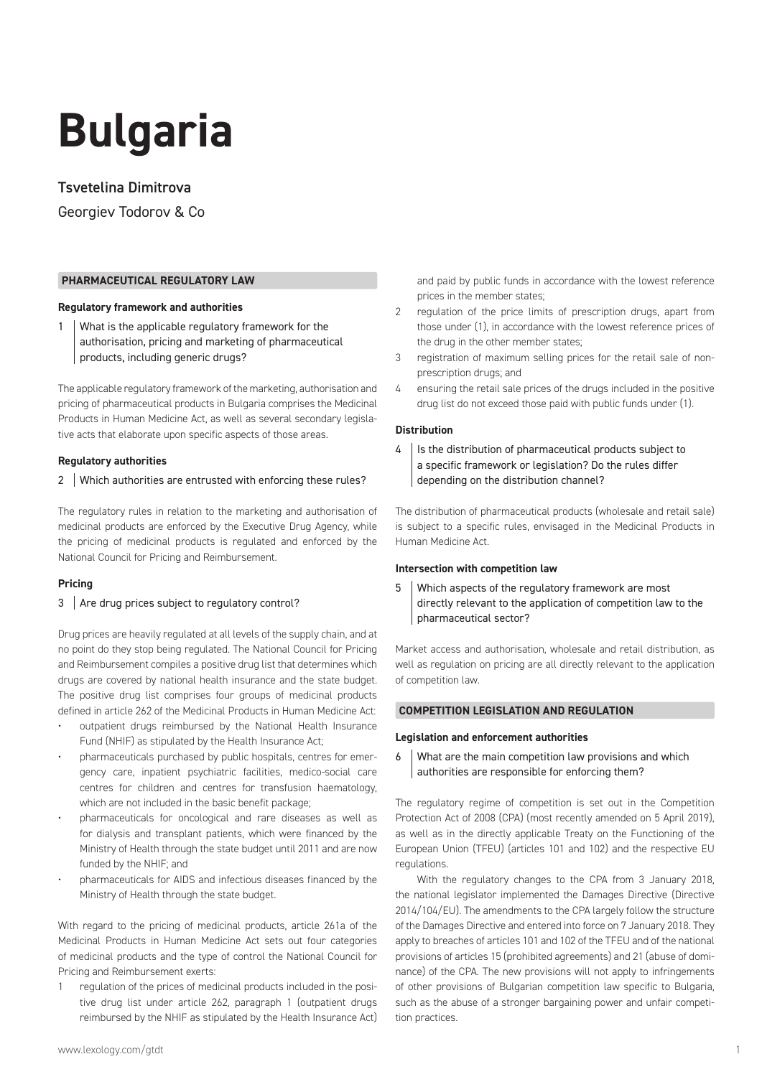# **Bulgaria**

# Tsvetelina Dimitrova

Georgiev Todorov & Co

## **PHARMACEUTICAL REGULATORY LAW**

#### **Regulatory framework and authorities**

1 What is the applicable regulatory framework for the authorisation, pricing and marketing of pharmaceutical products, including generic drugs?

The applicable regulatory framework of the marketing, authorisation and pricing of pharmaceutical products in Bulgaria comprises the Medicinal Products in Human Medicine Act, as well as several secondary legislative acts that elaborate upon specific aspects of those areas.

## **Regulatory authorities**

## 2 Which authorities are entrusted with enforcing these rules?

The regulatory rules in relation to the marketing and authorisation of medicinal products are enforced by the Executive Drug Agency, while the pricing of medicinal products is regulated and enforced by the National Council for Pricing and Reimbursement.

#### **Pricing**

## 3 Are drug prices subject to regulatory control?

Drug prices are heavily regulated at all levels of the supply chain, and at no point do they stop being regulated. The National Council for Pricing and Reimbursement compiles a positive drug list that determines which drugs are covered by national health insurance and the state budget. The positive drug list comprises four groups of medicinal products defined in article 262 of the Medicinal Products in Human Medicine Act:

- outpatient drugs reimbursed by the National Health Insurance Fund (NHIF) as stipulated by the Health Insurance Act;
- pharmaceuticals purchased by public hospitals, centres for emergency care, inpatient psychiatric facilities, medico-social care centres for children and centres for transfusion haematology, which are not included in the basic benefit package;
- pharmaceuticals for oncological and rare diseases as well as for dialysis and transplant patients, which were financed by the Ministry of Health through the state budget until 2011 and are now funded by the NHIF; and
- pharmaceuticals for AIDS and infectious diseases financed by the Ministry of Health through the state budget.

With regard to the pricing of medicinal products, article 261a of the Medicinal Products in Human Medicine Act sets out four categories of medicinal products and the type of control the National Council for Pricing and Reimbursement exerts:

1 regulation of the prices of medicinal products included in the positive drug list under article 262, paragraph 1 (outpatient drugs reimbursed by the NHIF as stipulated by the Health Insurance Act) and paid by public funds in accordance with the lowest reference prices in the member states;

- 2 regulation of the price limits of prescription drugs, apart from those under (1), in accordance with the lowest reference prices of the drug in the other member states;
- 3 registration of maximum selling prices for the retail sale of nonprescription drugs; and
- 4 ensuring the retail sale prices of the drugs included in the positive drug list do not exceed those paid with public funds under (1).

## **Distribution**

4 | Is the distribution of pharmaceutical products subject to a specific framework or legislation? Do the rules differ depending on the distribution channel?

The distribution of pharmaceutical products (wholesale and retail sale) is subject to a specific rules, envisaged in the Medicinal Products in Human Medicine Act.

## **Intersection with competition law**

5 Which aspects of the regulatory framework are most directly relevant to the application of competition law to the pharmaceutical sector?

Market access and authorisation, wholesale and retail distribution, as well as regulation on pricing are all directly relevant to the application of competition law.

## **COMPETITION LEGISLATION AND REGULATION**

#### **Legislation and enforcement authorities**

 $6 \mid$  What are the main competition law provisions and which authorities are responsible for enforcing them?

The regulatory regime of competition is set out in the Competition Protection Act of 2008 (CPA) (most recently amended on 5 April 2019), as well as in the directly applicable Treaty on the Functioning of the European Union (TFEU) (articles 101 and 102) and the respective EU regulations.

With the regulatory changes to the CPA from 3 January 2018, the national legislator implemented the Damages Directive (Directive 2014/104/EU). The amendments to the CPA largely follow the structure of the Damages Directive and entered into force on 7 January 2018. They apply to breaches of articles 101 and 102 of the TFEU and of the national provisions of articles 15 (prohibited agreements) and 21 (abuse of dominance) of the CPA. The new provisions will not apply to infringements of other provisions of Bulgarian competition law specific to Bulgaria, such as the abuse of a stronger bargaining power and unfair competition practices.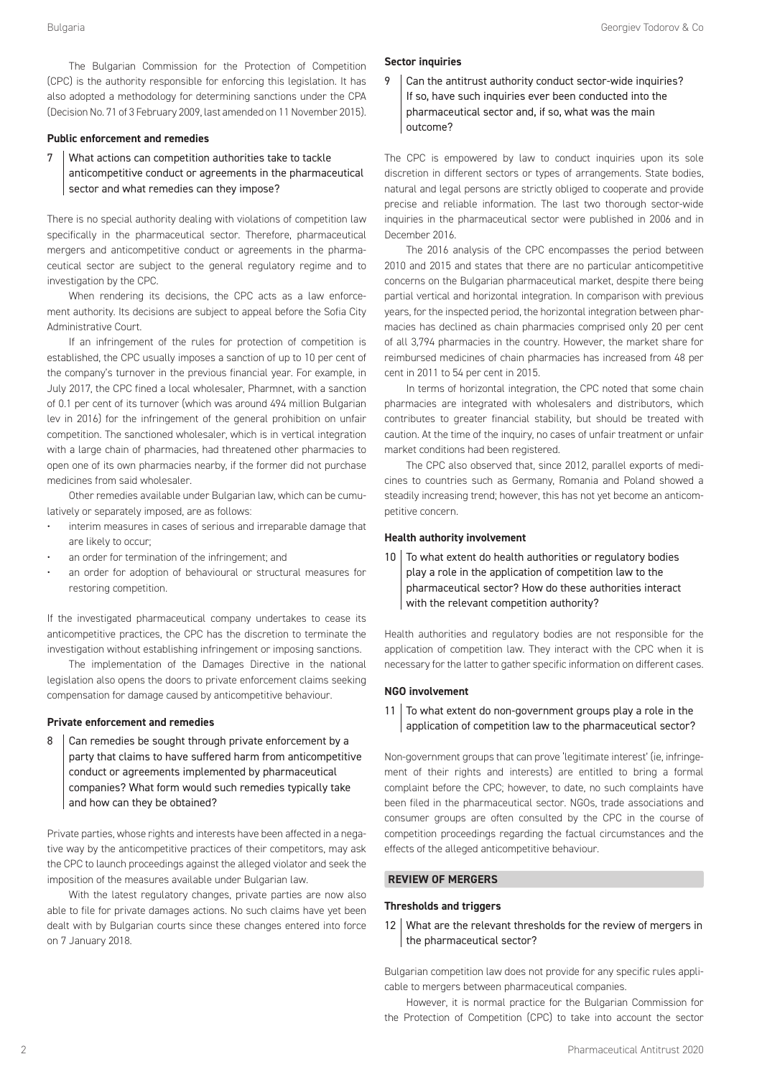The Bulgarian Commission for the Protection of Competition (CPC) is the authority responsible for enforcing this legislation. It has also adopted a methodology for determining sanctions under the CPA (Decision No. 71 of 3 February 2009, last amended on 11 November 2015).

#### **Public enforcement and remedies**

What actions can competition authorities take to tackle anticompetitive conduct or agreements in the pharmaceutical sector and what remedies can they impose?

There is no special authority dealing with violations of competition law specifically in the pharmaceutical sector. Therefore, pharmaceutical mergers and anticompetitive conduct or agreements in the pharmaceutical sector are subject to the general regulatory regime and to investigation by the CPC.

When rendering its decisions, the CPC acts as a law enforcement authority. Its decisions are subject to appeal before the Sofia City Administrative Court.

If an infringement of the rules for protection of competition is established, the CPC usually imposes a sanction of up to 10 per cent of the company's turnover in the previous financial year. For example, in July 2017, the CPC fined a local wholesaler, Pharmnet, with a sanction of 0.1 per cent of its turnover (which was around 494 million Bulgarian lev in 2016) for the infringement of the general prohibition on unfair competition. The sanctioned wholesaler, which is in vertical integration with a large chain of pharmacies, had threatened other pharmacies to open one of its own pharmacies nearby, if the former did not purchase medicines from said wholesaler.

Other remedies available under Bulgarian law, which can be cumulatively or separately imposed, are as follows:

- interim measures in cases of serious and irreparable damage that are likely to occur;
- an order for termination of the infringement; and
- an order for adoption of behavioural or structural measures for restoring competition.

If the investigated pharmaceutical company undertakes to cease its anticompetitive practices, the CPC has the discretion to terminate the investigation without establishing infringement or imposing sanctions.

The implementation of the Damages Directive in the national legislation also opens the doors to private enforcement claims seeking compensation for damage caused by anticompetitive behaviour.

#### **Private enforcement and remedies**

8 Can remedies be sought through private enforcement by a party that claims to have suffered harm from anticompetitive conduct or agreements implemented by pharmaceutical companies? What form would such remedies typically take and how can they be obtained?

Private parties, whose rights and interests have been affected in a negative way by the anticompetitive practices of their competitors, may ask the CPC to launch proceedings against the alleged violator and seek the imposition of the measures available under Bulgarian law.

With the latest regulatory changes, private parties are now also able to file for private damages actions. No such claims have yet been dealt with by Bulgarian courts since these changes entered into force on 7 January 2018.

#### **Sector inquiries**

9 Can the antitrust authority conduct sector-wide inquiries? If so, have such inquiries ever been conducted into the pharmaceutical sector and, if so, what was the main outcome?

The CPC is empowered by law to conduct inquiries upon its sole discretion in different sectors or types of arrangements. State bodies, natural and legal persons are strictly obliged to cooperate and provide precise and reliable information. The last two thorough sector-wide inquiries in the pharmaceutical sector were published in 2006 and in December 2016.

The 2016 analysis of the CPC encompasses the period between 2010 and 2015 and states that there are no particular anticompetitive concerns on the Bulgarian pharmaceutical market, despite there being partial vertical and horizontal integration. In comparison with previous years, for the inspected period, the horizontal integration between pharmacies has declined as chain pharmacies comprised only 20 per cent of all 3,794 pharmacies in the country. However, the market share for reimbursed medicines of chain pharmacies has increased from 48 per cent in 2011 to 54 per cent in 2015.

In terms of horizontal integration, the CPC noted that some chain pharmacies are integrated with wholesalers and distributors, which contributes to greater financial stability, but should be treated with caution. At the time of the inquiry, no cases of unfair treatment or unfair market conditions had been registered.

The CPC also observed that, since 2012, parallel exports of medicines to countries such as Germany, Romania and Poland showed a steadily increasing trend; however, this has not yet become an anticompetitive concern.

#### **Health authority involvement**

 $10$  To what extent do health authorities or regulatory bodies play a role in the application of competition law to the pharmaceutical sector? How do these authorities interact with the relevant competition authority?

Health authorities and regulatory bodies are not responsible for the application of competition law. They interact with the CPC when it is necessary for the latter to gather specific information on different cases.

#### **NGO involvement**

11  $\vert$  To what extent do non-government groups play a role in the application of competition law to the pharmaceutical sector?

Non-government groups that can prove 'legitimate interest' (ie, infringement of their rights and interests) are entitled to bring a formal complaint before the CPC; however, to date, no such complaints have been filed in the pharmaceutical sector. NGOs, trade associations and consumer groups are often consulted by the CPC in the course of competition proceedings regarding the factual circumstances and the effects of the alleged anticompetitive behaviour.

#### **REVIEW OF MERGERS**

#### **Thresholds and triggers**

12 What are the relevant thresholds for the review of mergers in the pharmaceutical sector?

Bulgarian competition law does not provide for any specific rules applicable to mergers between pharmaceutical companies.

However, it is normal practice for the Bulgarian Commission for the Protection of Competition (CPC) to take into account the sector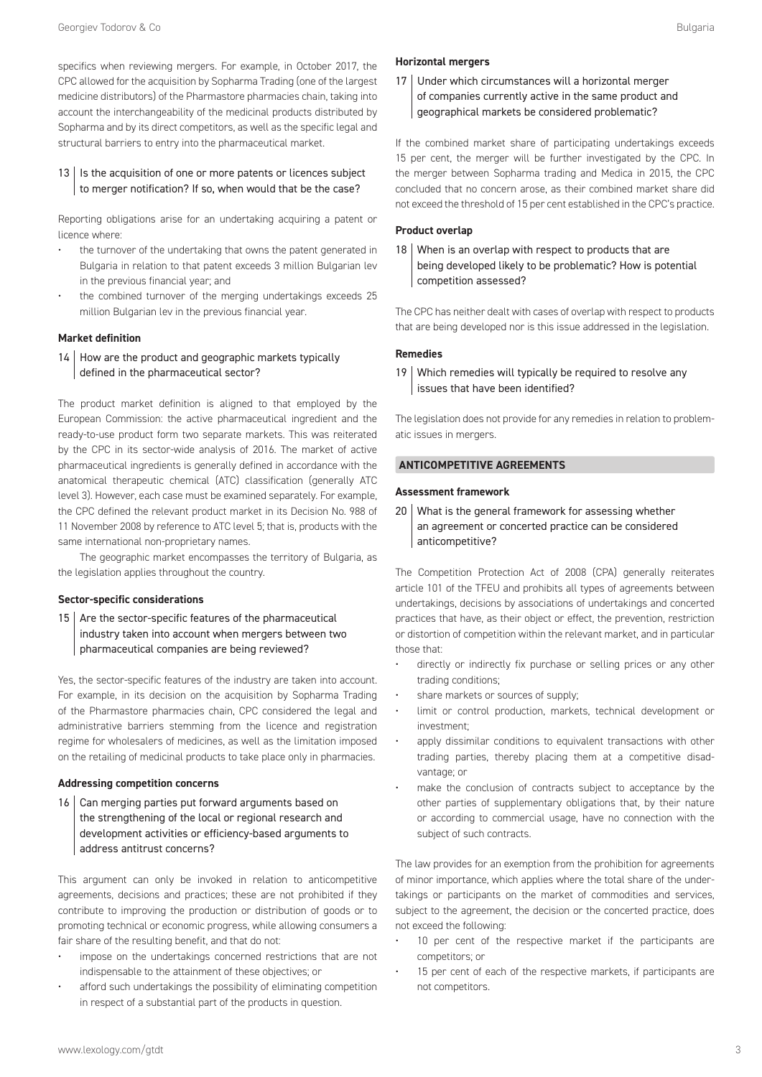specifics when reviewing mergers. For example, in October 2017, the CPC allowed for the acquisition by Sopharma Trading (one of the largest medicine distributors) of the Pharmastore pharmacies chain, taking into account the interchangeability of the medicinal products distributed by Sopharma and by its direct competitors, as well as the specific legal and structural barriers to entry into the pharmaceutical market.

 $13$  | Is the acquisition of one or more patents or licences subject to merger notification? If so, when would that be the case?

Reporting obligations arise for an undertaking acquiring a patent or licence where:

- the turnover of the undertaking that owns the patent generated in Bulgaria in relation to that patent exceeds 3 million Bulgarian lev in the previous financial year; and
- the combined turnover of the merging undertakings exceeds 25 million Bulgarian lev in the previous financial year.

#### **Market definition**

14 How are the product and geographic markets typically defined in the pharmaceutical sector?

The product market definition is aligned to that employed by the European Commission: the active pharmaceutical ingredient and the ready-to-use product form two separate markets. This was reiterated by the CPC in its sector-wide analysis of 2016. The market of active pharmaceutical ingredients is generally defined in accordance with the anatomical therapeutic chemical (ATC) classification (generally ATC level 3). However, each case must be examined separately. For example, the CPC defined the relevant product market in its Decision No. 988 of 11 November 2008 by reference to ATC level 5; that is, products with the same international non-proprietary names.

The geographic market encompasses the territory of Bulgaria, as the legislation applies throughout the country.

#### **Sector-specific considerations**

15  $\vert$  Are the sector-specific features of the pharmaceutical industry taken into account when mergers between two pharmaceutical companies are being reviewed?

Yes, the sector-specific features of the industry are taken into account. For example, in its decision on the acquisition by Sopharma Trading of the Pharmastore pharmacies chain, CPC considered the legal and administrative barriers stemming from the licence and registration regime for wholesalers of medicines, as well as the limitation imposed on the retailing of medicinal products to take place only in pharmacies.

#### **Addressing competition concerns**

16 Can merging parties put forward arguments based on the strengthening of the local or regional research and development activities or efficiency-based arguments to address antitrust concerns?

This argument can only be invoked in relation to anticompetitive agreements, decisions and practices; these are not prohibited if they contribute to improving the production or distribution of goods or to promoting technical or economic progress, while allowing consumers a fair share of the resulting benefit, and that do not:

- impose on the undertakings concerned restrictions that are not indispensable to the attainment of these objectives; or
- afford such undertakings the possibility of eliminating competition in respect of a substantial part of the products in question.

#### **Horizontal mergers**

17 Under which circumstances will a horizontal merger of companies currently active in the same product and geographical markets be considered problematic?

If the combined market share of participating undertakings exceeds 15 per cent, the merger will be further investigated by the CPC. In the merger between Sopharma trading and Medica in 2015, the CPC concluded that no concern arose, as their combined market share did not exceed the threshold of 15 per cent established in the CPC's practice.

#### **Product overlap**

18 When is an overlap with respect to products that are being developed likely to be problematic? How is potential competition assessed?

The CPC has neither dealt with cases of overlap with respect to products that are being developed nor is this issue addressed in the legislation.

#### **Remedies**

19 Which remedies will typically be required to resolve any issues that have been identified?

The legislation does not provide for any remedies in relation to problematic issues in mergers.

#### **ANTICOMPETITIVE AGREEMENTS**

#### **Assessment framework**

20 What is the general framework for assessing whether an agreement or concerted practice can be considered anticompetitive?

The Competition Protection Act of 2008 (CPA) generally reiterates article 101 of the TFEU and prohibits all types of agreements between undertakings, decisions by associations of undertakings and concerted practices that have, as their object or effect, the prevention, restriction or distortion of competition within the relevant market, and in particular those that:

- directly or indirectly fix purchase or selling prices or any other trading conditions;
- share markets or sources of supply;
- limit or control production, markets, technical development or investment;
- apply dissimilar conditions to equivalent transactions with other trading parties, thereby placing them at a competitive disadvantage; or
- make the conclusion of contracts subject to acceptance by the other parties of supplementary obligations that, by their nature or according to commercial usage, have no connection with the subject of such contracts.

The law provides for an exemption from the prohibition for agreements of minor importance, which applies where the total share of the undertakings or participants on the market of commodities and services, subject to the agreement, the decision or the concerted practice, does not exceed the following:

- 10 per cent of the respective market if the participants are competitors; or
- 15 per cent of each of the respective markets, if participants are not competitors.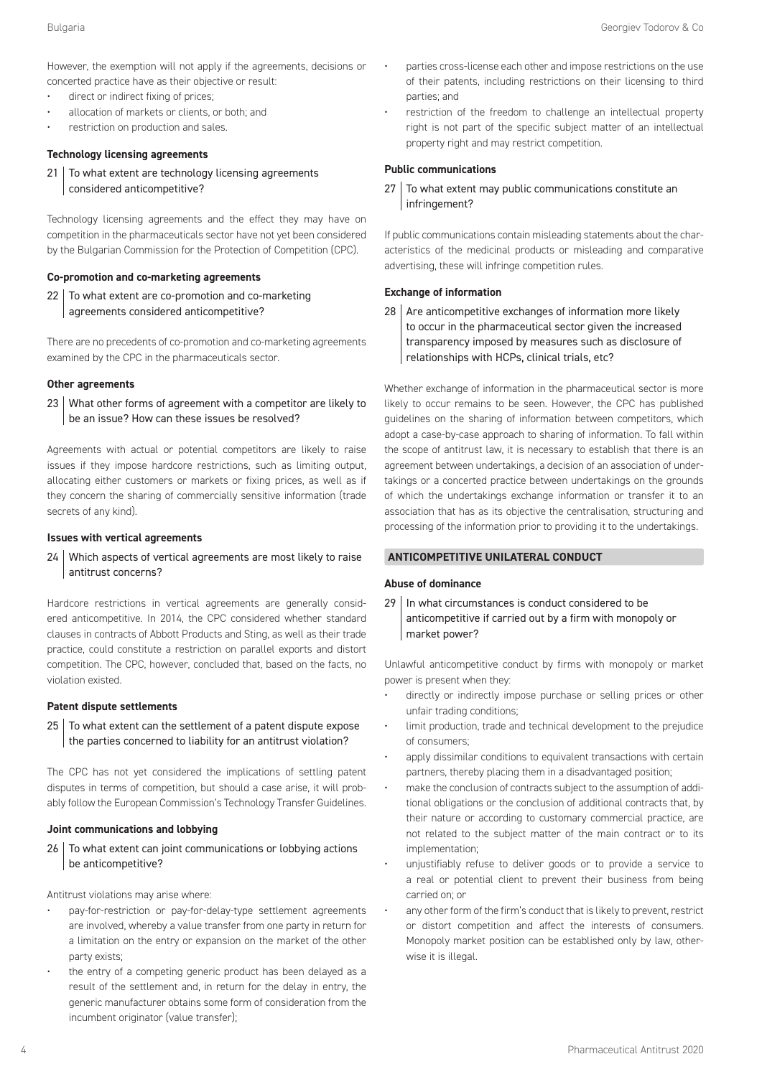However, the exemption will not apply if the agreements, decisions or concerted practice have as their objective or result:

- direct or indirect fixing of prices;
- allocation of markets or clients, or both; and
- restriction on production and sales.

#### **Technology licensing agreements**

21 To what extent are technology licensing agreements considered anticompetitive?

Technology licensing agreements and the effect they may have on competition in the pharmaceuticals sector have not yet been considered by the Bulgarian Commission for the Protection of Competition (CPC).

#### **Co-promotion and co-marketing agreements**

22 To what extent are co-promotion and co-marketing agreements considered anticompetitive?

There are no precedents of co-promotion and co-marketing agreements examined by the CPC in the pharmaceuticals sector.

#### **Other agreements**

23 What other forms of agreement with a competitor are likely to be an issue? How can these issues be resolved?

Agreements with actual or potential competitors are likely to raise issues if they impose hardcore restrictions, such as limiting output, allocating either customers or markets or fixing prices, as well as if they concern the sharing of commercially sensitive information (trade secrets of any kind).

#### **Issues with vertical agreements**

24 Which aspects of vertical agreements are most likely to raise antitrust concerns?

Hardcore restrictions in vertical agreements are generally considered anticompetitive. In 2014, the CPC considered whether standard clauses in contracts of Abbott Products and Sting, as well as their trade practice, could constitute a restriction on parallel exports and distort competition. The CPC, however, concluded that, based on the facts, no violation existed.

#### **Patent dispute settlements**

 $25$  To what extent can the settlement of a patent dispute expose the parties concerned to liability for an antitrust violation?

The CPC has not yet considered the implications of settling patent disputes in terms of competition, but should a case arise, it will probably follow the European Commission's Technology Transfer Guidelines.

#### **Joint communications and lobbying**

 $26$  To what extent can joint communications or lobbying actions be anticompetitive?

Antitrust violations may arise where:

- pay-for-restriction or pay-for-delay-type settlement agreements are involved, whereby a value transfer from one party in return for a limitation on the entry or expansion on the market of the other party exists;
- the entry of a competing generic product has been delayed as a result of the settlement and, in return for the delay in entry, the generic manufacturer obtains some form of consideration from the incumbent originator (value transfer);
- parties cross-license each other and impose restrictions on the use of their patents, including restrictions on their licensing to third parties; and
- restriction of the freedom to challenge an intellectual property right is not part of the specific subject matter of an intellectual property right and may restrict competition.

#### **Public communications**

27 To what extent may public communications constitute an infringement?

If public communications contain misleading statements about the characteristics of the medicinal products or misleading and comparative advertising, these will infringe competition rules.

#### **Exchange of information**

 $28$  Are anticompetitive exchanges of information more likely to occur in the pharmaceutical sector given the increased transparency imposed by measures such as disclosure of relationships with HCPs, clinical trials, etc?

Whether exchange of information in the pharmaceutical sector is more likely to occur remains to be seen. However, the CPC has published guidelines on the sharing of information between competitors, which adopt a case-by-case approach to sharing of information. To fall within the scope of antitrust law, it is necessary to establish that there is an agreement between undertakings, a decision of an association of undertakings or a concerted practice between undertakings on the grounds of which the undertakings exchange information or transfer it to an association that has as its objective the centralisation, structuring and processing of the information prior to providing it to the undertakings.

## **ANTICOMPETITIVE UNILATERAL CONDUCT**

#### **Abuse of dominance**

29 | In what circumstances is conduct considered to be anticompetitive if carried out by a firm with monopoly or market power?

Unlawful anticompetitive conduct by firms with monopoly or market power is present when they:

- directly or indirectly impose purchase or selling prices or other unfair trading conditions;
- limit production, trade and technical development to the prejudice of consumers;
- apply dissimilar conditions to equivalent transactions with certain partners, thereby placing them in a disadvantaged position;
- make the conclusion of contracts subject to the assumption of additional obligations or the conclusion of additional contracts that, by their nature or according to customary commercial practice, are not related to the subject matter of the main contract or to its implementation;
- unjustifiably refuse to deliver goods or to provide a service to a real or potential client to prevent their business from being carried on; or
- any other form of the firm's conduct that is likely to prevent, restrict or distort competition and affect the interests of consumers. Monopoly market position can be established only by law, otherwise it is illegal.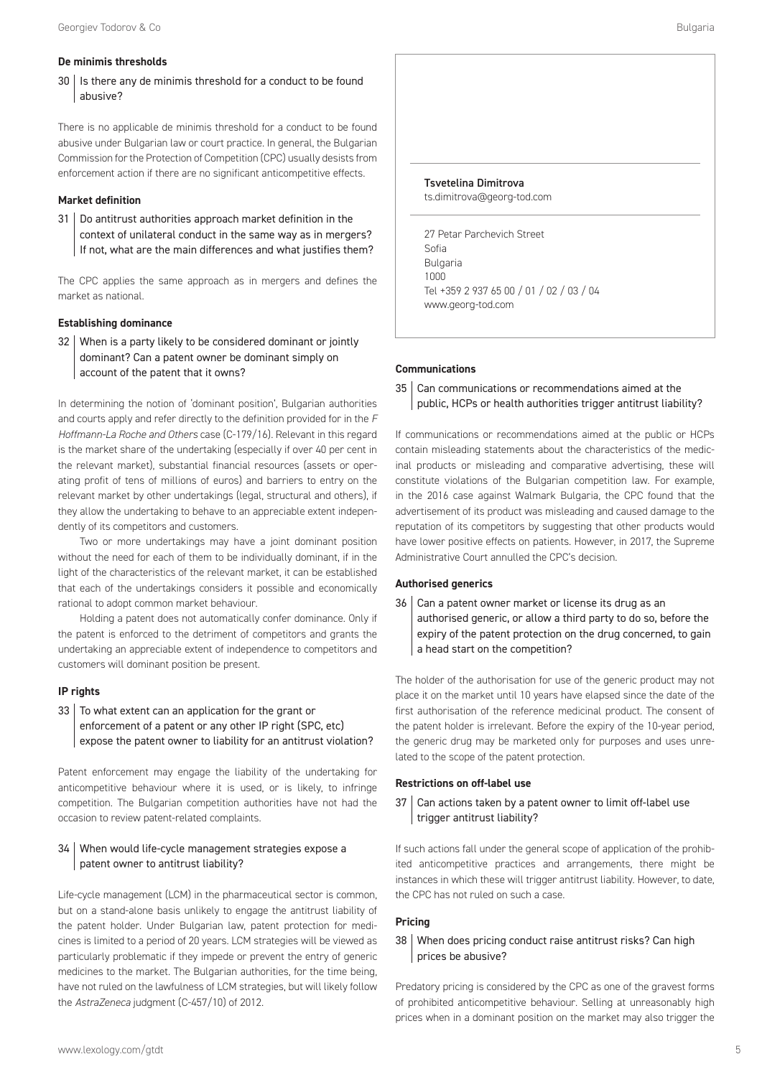## **De minimis thresholds**

 $30$  | Is there any de minimis threshold for a conduct to be found abusive?

There is no applicable de minimis threshold for a conduct to be found abusive under Bulgarian law or court practice. In general, the Bulgarian Commission for the Protection of Competition (CPC) usually desists from enforcement action if there are no significant anticompetitive effects.

## **Market definition**

31 Do antitrust authorities approach market definition in the context of unilateral conduct in the same way as in mergers? If not, what are the main differences and what justifies them?

The CPC applies the same approach as in mergers and defines the market as national.

## **Establishing dominance**

32 When is a party likely to be considered dominant or jointly dominant? Can a patent owner be dominant simply on account of the patent that it owns?

In determining the notion of 'dominant position', Bulgarian authorities and courts apply and refer directly to the definition provided for in the *F Hoffmann-La Roche and Others* case (C-179/16). Relevant in this regard is the market share of the undertaking (especially if over 40 per cent in the relevant market), substantial financial resources (assets or operating profit of tens of millions of euros) and barriers to entry on the relevant market by other undertakings (legal, structural and others), if they allow the undertaking to behave to an appreciable extent independently of its competitors and customers.

Two or more undertakings may have a joint dominant position without the need for each of them to be individually dominant, if in the light of the characteristics of the relevant market, it can be established that each of the undertakings considers it possible and economically rational to adopt common market behaviour.

Holding a patent does not automatically confer dominance. Only if the patent is enforced to the detriment of competitors and grants the undertaking an appreciable extent of independence to competitors and customers will dominant position be present.

#### **IP rights**

 $33$  To what extent can an application for the grant or enforcement of a patent or any other IP right (SPC, etc) expose the patent owner to liability for an antitrust violation?

Patent enforcement may engage the liability of the undertaking for anticompetitive behaviour where it is used, or is likely, to infringe competition. The Bulgarian competition authorities have not had the occasion to review patent-related complaints.

## 34 When would life-cycle management strategies expose a patent owner to antitrust liability?

Life-cycle management (LCM) in the pharmaceutical sector is common, but on a stand-alone basis unlikely to engage the antitrust liability of the patent holder. Under Bulgarian law, patent protection for medicines is limited to a period of 20 years. LCM strategies will be viewed as particularly problematic if they impede or prevent the entry of generic medicines to the market. The Bulgarian authorities, for the time being, have not ruled on the lawfulness of LCM strategies, but will likely follow the *AstraZeneca* judgment (C-457/10) of 2012.



#### **Communications**

 $35$  Can communications or recommendations aimed at the public, HCPs or health authorities trigger antitrust liability?

If communications or recommendations aimed at the public or HCPs contain misleading statements about the characteristics of the medicinal products or misleading and comparative advertising, these will constitute violations of the Bulgarian competition law. For example, in the 2016 case against Walmark Bulgaria, the CPC found that the advertisement of its product was misleading and caused damage to the reputation of its competitors by suggesting that other products would have lower positive effects on patients. However, in 2017, the Supreme Administrative Court annulled the CPC's decision.

#### **Authorised generics**

36 Can a patent owner market or license its drug as an authorised generic, or allow a third party to do so, before the expiry of the patent protection on the drug concerned, to gain a head start on the competition?

The holder of the authorisation for use of the generic product may not place it on the market until 10 years have elapsed since the date of the first authorisation of the reference medicinal product. The consent of the patent holder is irrelevant. Before the expiry of the 10-year period, the generic drug may be marketed only for purposes and uses unrelated to the scope of the patent protection.

#### **Restrictions on off-label use**

37 Can actions taken by a patent owner to limit off-label use trigger antitrust liability?

If such actions fall under the general scope of application of the prohibited anticompetitive practices and arrangements, there might be instances in which these will trigger antitrust liability. However, to date, the CPC has not ruled on such a case.

#### **Pricing**

## 38 When does pricing conduct raise antitrust risks? Can high prices be abusive?

Predatory pricing is considered by the CPC as one of the gravest forms of prohibited anticompetitive behaviour. Selling at unreasonably high prices when in a dominant position on the market may also trigger the